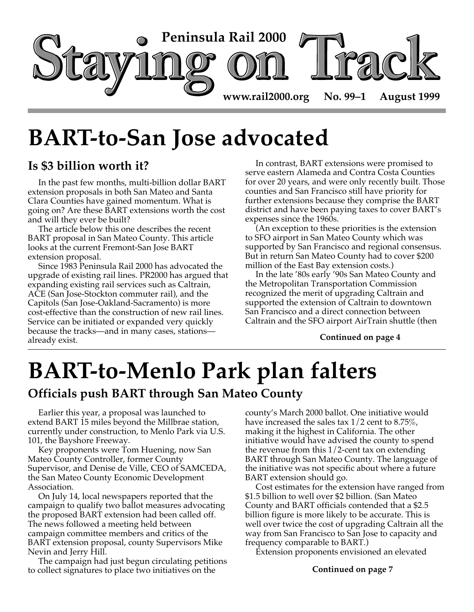

# **BART-to-San Jose advocated**

## **Is \$3 billion worth it?**

In the past few months, multi-billion dollar BART extension proposals in both San Mateo and Santa Clara Counties have gained momentum. What is going on? Are these BART extensions worth the cost and will they ever be built?

The article below this one describes the recent BART proposal in San Mateo County. This article looks at the current Fremont-San Jose BART extension proposal.

Since 1983 Peninsula Rail 2000 has advocated the upgrade of existing rail lines. PR2000 has argued that expanding existing rail services such as Caltrain, ACE (San Jose-Stockton commuter rail), and the Capitols (San Jose-Oakland-Sacramento) is more cost-effective than the construction of new rail lines. Service can be initiated or expanded very quickly because the tracks—and in many cases, stations already exist.

In contrast, BART extensions were promised to serve eastern Alameda and Contra Costa Counties for over 20 years, and were only recently built. Those counties and San Francisco still have priority for further extensions because they comprise the BART district and have been paying taxes to cover BART's expenses since the 1960s.

(An exception to these priorities is the extension to SFO airport in San Mateo County which was supported by San Francisco and regional consensus. But in return San Mateo County had to cover \$200 million of the East Bay extension costs.)

In the late '80s early '90s San Mateo County and the Metropolitan Transportation Commission recognized the merit of upgrading Caltrain and supported the extension of Caltrain to downtown San Francisco and a direct connection between Caltrain and the SFO airport AirTrain shuttle (then

### **Continued on page 4**

# **BART-to-Menlo Park plan falters**

## **Officials push BART through San Mateo County**

Earlier this year, a proposal was launched to extend BART 15 miles beyond the Millbrae station, currently under construction, to Menlo Park via U.S. 101, the Bayshore Freeway.

Key proponents were Tom Huening, now San Mateo County Controller, former County Supervisor, and Denise de Ville, CEO of SAMCEDA, the San Mateo County Economic Development Association.

On July 14, local newspapers reported that the campaign to qualify two ballot measures advocating the proposed BART extension had been called off. The news followed a meeting held between campaign committee members and critics of the BART extension proposal, county Supervisors Mike Nevin and Jerry Hill.

The campaign had just begun circulating petitions to collect signatures to place two initiatives on the

county's March 2000 ballot. One initiative would have increased the sales tax 1/2 cent to 8.75%, making it the highest in California. The other initiative would have advised the county to spend the revenue from this 1/2-cent tax on extending BART through San Mateo County. The language of the initiative was not specific about where a future BART extension should go.

Cost estimates for the extension have ranged from \$1.5 billion to well over \$2 billion. (San Mateo County and BART officials contended that a \$2.5 billion figure is more likely to be accurate. This is well over twice the cost of upgrading Caltrain all the way from San Francisco to San Jose to capacity and frequency comparable to BART.)

Extension proponents envisioned an elevated

**Continued on page 7**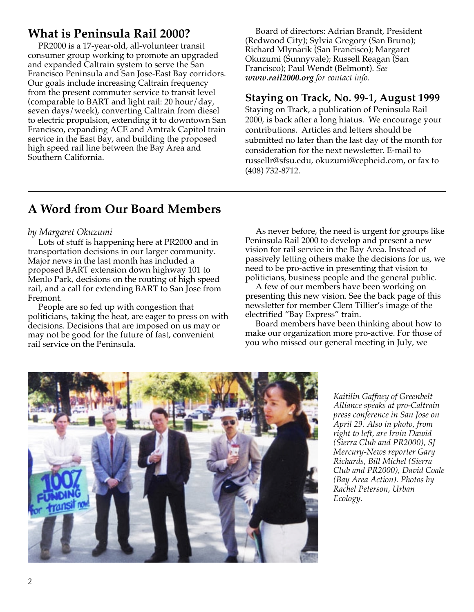# **What is Peninsula Rail 2000?**

PR2000 is a 17-year-old, all-volunteer transit consumer group working to promote an upgraded and expanded Caltrain system to serve the San Francisco Peninsula and San Jose-East Bay corridors. Our goals include increasing Caltrain frequency from the present commuter service to transit level (comparable to BART and light rail: 20 hour/day, seven days/week), converting Caltrain from diesel to electric propulsion, extending it to downtown San Francisco, expanding ACE and Amtrak Capitol train service in the East Bay, and building the proposed high speed rail line between the Bay Area and Southern California.

Board of directors: Adrian Brandt, President (Redwood City); Sylvia Gregory (San Bruno); Richard Mlynarik (San Francisco); Margaret Okuzumi (Sunnyvale); Russell Reagan (San Francisco); Paul Wendt (Belmont). *See www.rail2000.org for contact info.*

### **Staying on Track, No. 99-1, August 1999**

Staying on Track, a publication of Peninsula Rail 2000, is back after a long hiatus. We encourage your contributions. Articles and letters should be submitted no later than the last day of the month for consideration for the next newsletter. E-mail to russellr@sfsu.edu, okuzumi@cepheid.com, or fax to (408) 732-8712.

## **A Word from Our Board Members**

### *by Margaret Okuzumi*

Lots of stuff is happening here at PR2000 and in transportation decisions in our larger community. Major news in the last month has included a proposed BART extension down highway 101 to Menlo Park, decisions on the routing of high speed rail, and a call for extending BART to San Jose from Fremont.

People are so fed up with congestion that politicians, taking the heat, are eager to press on with decisions. Decisions that are imposed on us may or may not be good for the future of fast, convenient rail service on the Peninsula.

As never before, the need is urgent for groups like Peninsula Rail 2000 to develop and present a new vision for rail service in the Bay Area. Instead of passively letting others make the decisions for us, we need to be pro-active in presenting that vision to politicians, business people and the general public.

A few of our members have been working on presenting this new vision. See the back page of this newsletter for member Clem Tillier's image of the electrified "Bay Express" train.

Board members have been thinking about how to make our organization more pro-active. For those of you who missed our general meeting in July, we



*Kaitilin Gaffney of Greenbelt Alliance speaks at pro-Caltrain press conference in San Jose on April 29. Also in photo, from right to left, are Irvin Dawid (Sierra Club and PR2000), SJ Mercury-News reporter Gary Richards, Bill Michel (Sierra Club and PR2000), David Coale (Bay Area Action). Photos by Rachel Peterson, Urban Ecology.*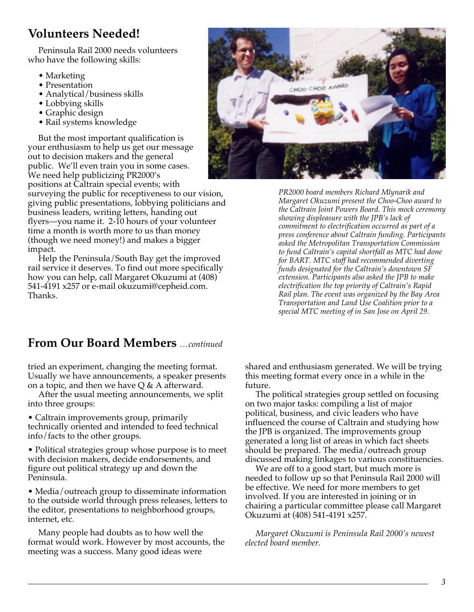# **Volunteers Needed!**

Peninsula Rail 2000 needs volunteers who have the following skills:

- Marketing
- Presentation
- Analytical/business skills
- Lobbying skills
- Graphic design
- Rail systems knowledge

But the most important qualification is your enthusiasm to help us get our message out to decision makers and the general public. We'll even train you in some cases. We need help publicizing PR2000's positions at Caltrain special events; with surveying the public for receptiveness to our vision, giving public presentations, lobbying politicians and business leaders, writing letters, handing out flyers—you name it. 2-10 hours of your volunteer time a month is worth more to us than money (though we need money!) and makes a bigger impact.

Help the Peninsula/South Bay get the improved rail service it deserves. To find out more specifically how you can help, call Margaret Okuzumi at (408) 541-4191 x257 or e-mail okuzumi@cepheid.com. Thanks.



*PR2000 board members Richard Mlynarik and Margaret Okuzumi present the Choo-Choo award to the Caltrain Joint Powers Board. This mock ceremony showing displeasure with the JPB's lack of commitment to electrification occurred as part of a press conference about Caltrain funding. Participants asked the Metropolitan Transportation Commission to fund Caltrain's capital shortfall as MTC had done for BART. MTC staff had recommended diverting funds designated for the Caltrain's downtown SF extension. Participants also asked the JPB to make electrification the top priority of Caltrain's Rapid Rail plan. The event was organized by the Bay Area Transportation and Land Use Coalition prior to a special MTC meeting of in San Jose on April 29.*

### **From Our Board Members** *…continued*

tried an experiment, changing the meeting format. Usually we have announcements, a speaker presents on a topic, and then we have  $Q \& A$  afterward.

After the usual meeting announcements, we split into three groups:

• Caltrain improvements group, primarily technically oriented and intended to feed technical info/facts to the other groups.

• Political strategies group whose purpose is to meet with decision makers, decide endorsements, and figure out political strategy up and down the Peninsula.

• Media/outreach group to disseminate information to the outside world through press releases, letters to the editor, presentations to neighborhood groups, internet, etc.

Many people had doubts as to how well the format would work. However by most accounts, the meeting was a success. Many good ideas were

shared and enthusiasm generated. We will be trying this meeting format every once in a while in the future.

The political strategies group settled on focusing on two major tasks: compiling a list of major political, business, and civic leaders who have influenced the course of Caltrain and studying how the JPB is organized. The improvements group generated a long list of areas in which fact sheets should be prepared. The media/outreach group discussed making linkages to various constituencies.

We are off to a good start, but much more is needed to follow up so that Peninsula Rail 2000 will be effective. We need for more members to get involved. If you are interested in joining or in chairing a particular committee please call Margaret Okuzumi at (408) 541-4191 x257.

*Margaret Okuzumi is Peninsula Rail 2000's newest elected board member.*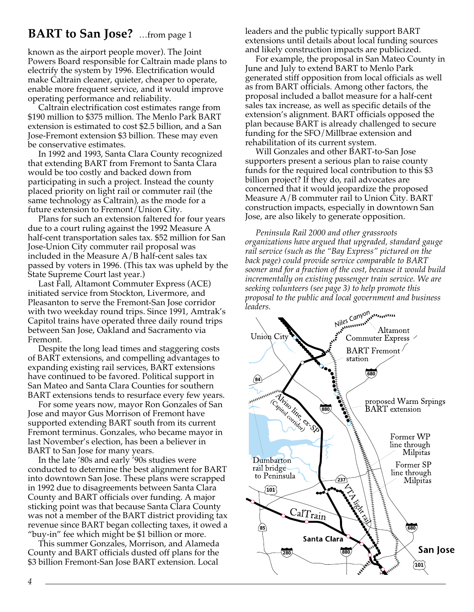## **BART to San Jose?** …from page 1

known as the airport people mover). The Joint Powers Board responsible for Caltrain made plans to electrify the system by 1996. Electrification would make Caltrain cleaner, quieter, cheaper to operate, enable more frequent service, and it would improve operating performance and reliability.

Caltrain electrification cost estimates range from \$190 million to \$375 million. The Menlo Park BART extension is estimated to cost \$2.5 billion, and a San Jose-Fremont extension \$3 billion. These may even be conservative estimates.

In 1992 and 1993, Santa Clara County recognized that extending BART from Fremont to Santa Clara would be too costly and backed down from participating in such a project. Instead the county placed priority on light rail or commuter rail (the same technology as Caltrain), as the mode for a future extension to Fremont/Union City.

Plans for such an extension faltered for four years due to a court ruling against the 1992 Measure A half-cent transportation sales tax. \$52 million for San Jose-Union City commuter rail proposal was included in the Measure  $A/B$  half-cent sales tax passed by voters in 1996. (This tax was upheld by the State Supreme Court last year.)

Last Fall, Altamont Commuter Express (ACE) initiated service from Stockton, Livermore, and Pleasanton to serve the Fremont-San Jose corridor with two weekday round trips. Since 1991, Amtrak's Capitol trains have operated three daily round trips between San Jose, Oakland and Sacramento via Fremont.

Despite the long lead times and staggering costs of BART extensions, and compelling advantages to expanding existing rail services, BART extensions have continued to be favored. Political support in San Mateo and Santa Clara Counties for southern BART extensions tends to resurface every few years.

For some years now, mayor Ron Gonzales of San Jose and mayor Gus Morrison of Fremont have supported extending BART south from its current Fremont terminus. Gonzales, who became mayor in last November's election, has been a believer in BART to San Jose for many years.

In the late '80s and early '90s studies were conducted to determine the best alignment for BART into downtown San Jose. These plans were scrapped in 1992 due to disagreements between Santa Clara County and BART officials over funding. A major sticking point was that because Santa Clara County was not a member of the BART district providing tax revenue since BART began collecting taxes, it owed a "buy-in" fee which might be \$1 billion or more.

This summer Gonzales, Morrison, and Alameda County and BART officials dusted off plans for the \$3 billion Fremont-San Jose BART extension. Local

leaders and the public typically support BART extensions until details about local funding sources and likely construction impacts are publicized.

For example, the proposal in San Mateo County in June and July to extend BART to Menlo Park generated stiff opposition from local officials as well as from BART officials. Among other factors, the proposal included a ballot measure for a half-cent sales tax increase, as well as specific details of the extension's alignment. BART officials opposed the plan because BART is already challenged to secure funding for the SFO/Millbrae extension and rehabilitation of its current system.

Will Gonzales and other BART-to-San Jose supporters present a serious plan to raise county funds for the required local contribution to this \$3 billion project? If they do, rail advocates are concerned that it would jeopardize the proposed Measure A/B commuter rail to Union City. BART construction impacts, especially in downtown San Jose, are also likely to generate opposition.

*Peninsula Rail 2000 and other grassroots organizations have argued that upgraded, standard gauge rail service (such as the "Bay Express" pictured on the back page) could provide service comparable to BART sooner and for a fraction of the cost, because it would build incrementally on existing passenger train service. We are seeking volunteers (see page 3) to help promote this proposal to the public and local government and business leaders.*

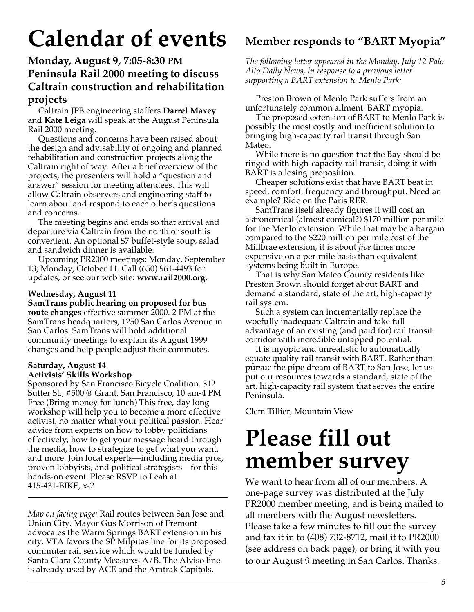# **Calendar of events**

### **Monday, August 9, 7:05-8:30 PM Peninsula Rail 2000 meeting to discuss Caltrain construction and rehabilitation projects**

Caltrain JPB engineering staffers **Darrel Maxey** and **Kate Leiga** will speak at the August Peninsula Rail 2000 meeting.

Questions and concerns have been raised about the design and advisability of ongoing and planned rehabilitation and construction projects along the Caltrain right of way. After a brief overview of the projects, the presenters will hold a "question and answer" session for meeting attendees. This will allow Caltrain observers and engineering staff to learn about and respond to each other's questions and concerns.

The meeting begins and ends so that arrival and departure via Caltrain from the north or south is convenient. An optional \$7 buffet-style soup, salad and sandwich dinner is available.

Upcoming PR2000 meetings: Monday, September 13; Monday, October 11. Call (650) 961-4493 for updates, or see our web site: **www.rail2000.org.**

### **Wednesday, August 11**

**SamTrans public hearing on proposed for bus route changes** effective summer 2000. 2 PM at the SamTrans headquarters, 1250 San Carlos Avenue in San Carlos. SamTrans will hold additional community meetings to explain its August 1999 changes and help people adjust their commutes.

### **Saturday, August 14 Activists' Skills Workshop**

Sponsored by San Francisco Bicycle Coalition. 312 Sutter St., #500 @ Grant, San Francisco, 10 am-4 PM Free (Bring money for lunch) This free, day long workshop will help you to become a more effective activist, no matter what your political passion. Hear advice from experts on how to lobby politicians effectively, how to get your message heard through the media, how to strategize to get what you want, and more. Join local experts—including media pros, proven lobbyists, and political strategists—for this hands-on event. Please RSVP to Leah at 415-431-BIKE, x-2

*Map on facing page:* Rail routes between San Jose and Union City. Mayor Gus Morrison of Fremont advocates the Warm Springs BART extension in his city. VTA favors the SP Milpitas line for its proposed commuter rail service which would be funded by Santa Clara County Measures A/B. The Alviso line is already used by ACE and the Amtrak Capitols.

# **Member responds to "BART Myopia"**

*The following letter appeared in the Monday, July 12 Palo Alto Daily News, in response to a previous letter supporting a BART extension to Menlo Park:*

Preston Brown of Menlo Park suffers from an unfortunately common ailment: BART myopia.

The proposed extension of BART to Menlo Park is possibly the most costly and inefficient solution to bringing high-capacity rail transit through San Mateo.

While there is no question that the Bay should be ringed with high-capacity rail transit, doing it with BART is a losing proposition.

Cheaper solutions exist that have BART beat in speed, comfort, frequency and throughput. Need an example? Ride on the Paris RER.

SamTrans itself already figures it will cost an astronomical (almost comical?) \$170 million per mile for the Menlo extension. While that may be a bargain compared to the \$220 million per mile cost of the Millbrae extension, it is about *five* times more expensive on a per-mile basis than equivalent systems being built in Europe.

That is why San Mateo County residents like Preston Brown should forget about BART and demand a standard, state of the art, high-capacity rail system.

Such a system can incrementally replace the woefully inadequate Caltrain and take full advantage of an existing (and paid for) rail transit corridor with incredible untapped potential.

It is myopic and unrealistic to automatically equate quality rail transit with BART. Rather than pursue the pipe dream of BART to San Jose, let us put our resources towards a standard, state of the art, high-capacity rail system that serves the entire Peninsula.

Clem Tillier, Mountain View

# **Please fill out member survey**

We want to hear from all of our members. A one-page survey was distributed at the July PR2000 member meeting, and is being mailed to all members with the August newsletters. Please take a few minutes to fill out the survey and fax it in to (408) 732-8712, mail it to PR2000 (see address on back page), or bring it with you to our August 9 meeting in San Carlos. Thanks.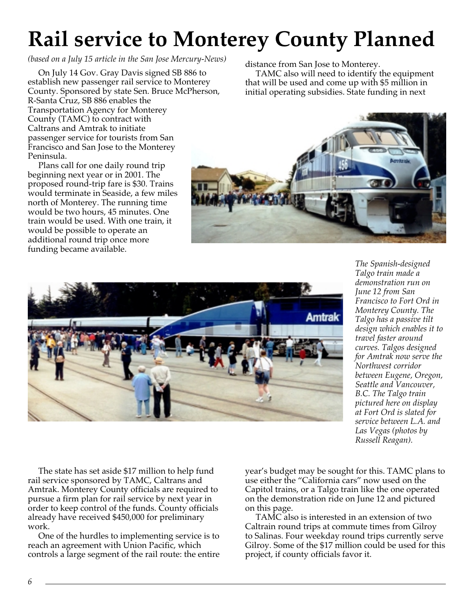# **Rail service to Monterey County Planned**

*(based on a July 15 article in the San Jose Mercury-News)*

On July 14 Gov. Gray Davis signed SB 886 to establish new passenger rail service to Monterey County. Sponsored by state Sen. Bruce McPherson, R-Santa Cruz, SB 886 enables the Transportation Agency for Monterey County (TAMC) to contract with Caltrans and Amtrak to initiate passenger service for tourists from San Francisco and San Jose to the Monterey Peninsula.

Plans call for one daily round trip beginning next year or in 2001. The proposed round-trip fare is \$30. Trains would terminate in Seaside, a few miles north of Monterey. The running time would be two hours, 45 minutes. One train would be used. With one train, it would be possible to operate an additional round trip once more funding became available.

distance from San Jose to Monterey.

TAMC also will need to identify the equipment that will be used and come up with \$5 million in initial operating subsidies. State funding in next





*The Spanish-designed Talgo train made a demonstration run on June 12 from San Francisco to Fort Ord in Monterey County. The Talgo has a passive tilt design which enables it to travel faster around curves. Talgos designed for Amtrak now serve the Northwest corridor between Eugene, Oregon, Seattle and Vancouver, B.C. The Talgo train pictured here on display at Fort Ord is slated for service between L.A. and Las Vegas (photos by Russell Reagan).*

The state has set aside \$17 million to help fund rail service sponsored by TAMC, Caltrans and Amtrak. Monterey County officials are required to pursue a firm plan for rail service by next year in order to keep control of the funds. County officials already have received \$450,000 for preliminary work.

One of the hurdles to implementing service is to reach an agreement with Union Pacific, which controls a large segment of the rail route: the entire year's budget may be sought for this. TAMC plans to use either the "California cars" now used on the Capitol trains, or a Talgo train like the one operated on the demonstration ride on June 12 and pictured on this page.

TAMC also is interested in an extension of two Caltrain round trips at commute times from Gilroy to Salinas. Four weekday round trips currently serve Gilroy. Some of the \$17 million could be used for this project, if county officials favor it.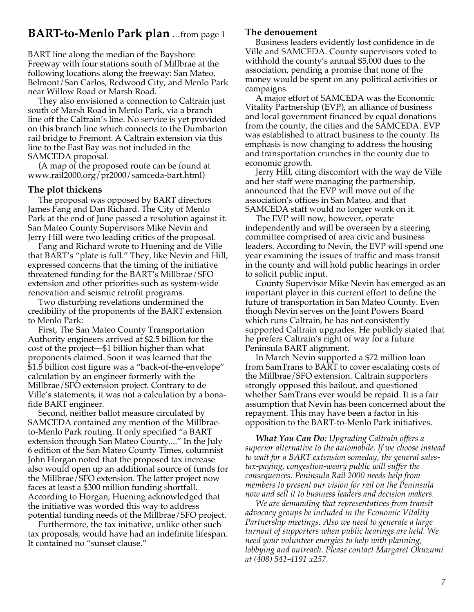### **BART-to-Menlo Park plan** …from page 1

BART line along the median of the Bayshore Freeway with four stations south of Millbrae at the following locations along the freeway: San Mateo, Belmont/San Carlos, Redwood City, and Menlo Park near Willow Road or Marsh Road.

They also envisioned a connection to Caltrain just south of Marsh Road in Menlo Park, via a branch line off the Caltrain's line. No service is yet provided on this branch line which connects to the Dumbarton rail bridge to Fremont. A Caltrain extension via this line to the East Bay was not included in the SAMCEDA proposal.

(A map of the proposed route can be found at www.rail2000.org/pr2000/samceda-bart.html)

### **The plot thickens**

The proposal was opposed by BART directors James Fang and Dan Richard. The City of Menlo Park at the end of June passed a resolution against it. San Mateo County Supervisors Mike Nevin and Jerry Hill were two leading critics of the proposal.

Fang and Richard wrote to Huening and de Ville that BART's "plate is full." They, like Nevin and Hill, expressed concerns that the timing of the initiative threatened funding for the BART's Millbrae/SFO extension and other priorities such as system-wide renovation and seismic retrofit programs.

Two disturbing revelations undermined the credibility of the proponents of the BART extension to Menlo Park:

First, The San Mateo County Transportation Authority engineers arrived at \$2.5 billion for the cost of the project—\$1 billion higher than what proponents claimed. Soon it was learned that the \$1.5 billion cost figure was a "back-of-the-envelope" calculation by an engineer formerly with the Millbrae/SFO extension project. Contrary to de Ville's statements, it was not a calculation by a bonafide BART engineer.

Second, neither ballot measure circulated by SAMCEDA contained any mention of the Millbraeto-Menlo Park routing. It only specified "a BART extension through San Mateo County...." In the July 6 edition of the San Mateo County Times, columnist John Horgan noted that the proposed tax increase also would open up an additional source of funds for the Millbrae/SFO extension. The latter project now faces at least a \$300 million funding shortfall. According to Horgan, Huening acknowledged that the initiative was worded this way to address potential funding needs of the Millbrae/SFO project.

Furthermore, the tax initiative, unlike other such tax proposals, would have had an indefinite lifespan. It contained no "sunset clause."

### **The denouement**

Business leaders evidently lost confidence in de Ville and SAMCEDA. County supervisors voted to withhold the county's annual \$5,000 dues to the association, pending a promise that none of the money would be spent on any political activities or campaigns.

A major effort of SAMCEDA was the Economic Vitality Partnership (EVP), an alliance of business and local government financed by equal donations from the county, the cities and the SAMCEDA. EVP was established to attract business to the county. Its emphasis is now changing to address the housing and transportation crunches in the county due to economic growth.

Jerry Hill, citing discomfort with the way de Ville and her staff were managing the partnership, announced that the EVP will move out of the association's offices in San Mateo, and that SAMCEDA staff would no longer work on it.

The EVP will now, however, operate independently and will be overseen by a steering committee comprised of area civic and business leaders. According to Nevin, the EVP will spend one year examining the issues of traffic and mass transit in the county and will hold public hearings in order to solicit public input.

County Supervisor Mike Nevin has emerged as an important player in this current effort to define the future of transportation in San Mateo County. Even though Nevin serves on the Joint Powers Board which runs Caltrain, he has not consistently supported Caltrain upgrades. He publicly stated that he prefers Caltrain's right of way for a future Peninsula BART alignment.

In March Nevin supported a \$72 million loan from SamTrans to BART to cover escalating costs of the Millbrae/SFO extension. Caltrain supporters strongly opposed this bailout, and questioned whether SamTrans ever would be repaid. It is a fair assumption that Nevin has been concerned about the repayment. This may have been a factor in his opposition to the BART-to-Menlo Park initiatives.

*What You Can Do: Upgrading Caltrain offers a superior alternative to the automobile. If we choose instead to wait for a BART extension someday, the general salestax-paying, congestion-weary public will suffer the consequences. Peninsula Rail 2000 needs help from members to present our vision for rail on the Peninsula now and sell it to business leaders and decision makers.*

*We are demanding that representatives from transit advocacy groups be included in the Economic Vitality Partnership meetings. Also we need to generate a large turnout of supporters when public hearings are held. We need your volunteer energies to help with planning, lobbying and outreach. Please contact Margaret Okuzumi at (408) 541-4191 x257.*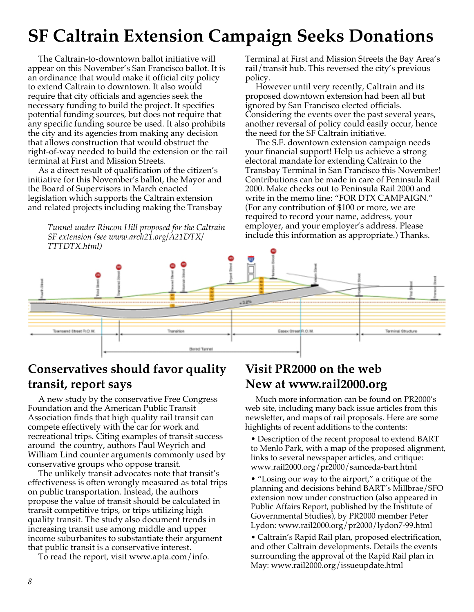# **SF Caltrain Extension Campaign Seeks Donations**

The Caltrain-to-downtown ballot initiative will appear on this November's San Francisco ballot. It is an ordinance that would make it official city policy to extend Caltrain to downtown. It also would require that city officials and agencies seek the necessary funding to build the project. It specifies potential funding sources, but does not require that any specific funding source be used. It also prohibits the city and its agencies from making any decision that allows construction that would obstruct the right-of-way needed to build the extension or the rail terminal at First and Mission Streets.

As a direct result of qualification of the citizen's initiative for this November's ballot, the Mayor and the Board of Supervisors in March enacted legislation which supports the Caltrain extension and related projects including making the Transbay

> *Tunnel under Rincon Hill proposed for the Caltrain SF extension (see www.arch21.org/A21DTX/ TTTDTX.html)*

Terminal at First and Mission Streets the Bay Area's rail/transit hub. This reversed the city's previous policy.

However until very recently, Caltrain and its proposed downtown extension had been all but ignored by San Francisco elected officials. Considering the events over the past several years, another reversal of policy could easily occur, hence the need for the SF Caltrain initiative.

The S.F. downtown extension campaign needs your financial support! Help us achieve a strong electoral mandate for extending Caltrain to the Transbay Terminal in San Francisco this November! Contributions can be made in care of Peninsula Rail 2000. Make checks out to Peninsula Rail 2000 and write in the memo line: "FOR DTX CAMPAIGN." (For any contribution of \$100 or more, we are required to record your name, address, your employer, and your employer's address. Please include this information as appropriate.) Thanks.



# **Conservatives should favor quality transit, report says**

A new study by the conservative Free Congress Foundation and the American Public Transit Association finds that high quality rail transit can compete effectively with the car for work and recreational trips. Citing examples of transit success around the country, authors Paul Weyrich and William Lind counter arguments commonly used by conservative groups who oppose transit.

The unlikely transit advocates note that transit's effectiveness is often wrongly measured as total trips on public transportation. Instead, the authors propose the value of transit should be calculated in transit competitive trips, or trips utilizing high quality transit. The study also document trends in increasing transit use among middle and upper income suburbanites to substantiate their argument that public transit is a conservative interest.

To read the report, visit www.apta.com/info.

# **Visit PR2000 on the web New at www.rail2000.org**

Much more information can be found on PR2000's web site, including many back issue articles from this newsletter, and maps of rail proposals. Here are some highlights of recent additions to the contents:

• Description of the recent proposal to extend BART to Menlo Park, with a map of the proposed alignment, links to several newspaper articles, and critique: www.rail2000.org/pr2000/samceda-bart.html

• "Losing our way to the airport," a critique of the planning and decisions behind BART's Millbrae/SFO extension now under construction (also appeared in Public Affairs Report, published by the Institute of Governmental Studies), by PR2000 member Peter Lydon: www.rail2000.org/pr2000/lydon7-99.html

• Caltrain's Rapid Rail plan, proposed electrification, and other Caltrain developments. Details the events surrounding the approval of the Rapid Rail plan in May: www.rail2000.org/issueupdate.html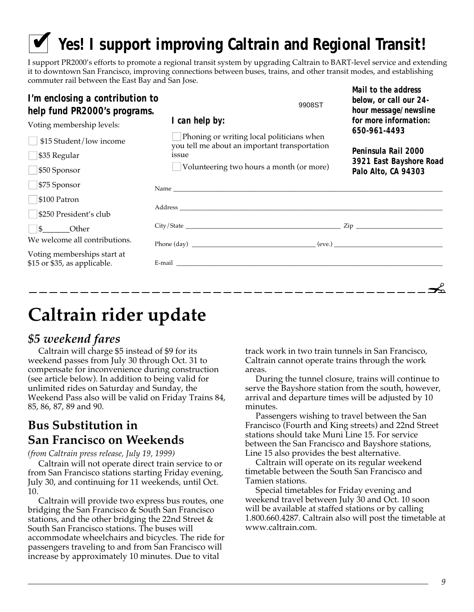# ✔ *Yes!* **I support improving Caltrain and Regional Transit!**

I support PR2000's efforts to promote a regional transit system by upgrading Caltrain to BART-level service and extending it to downtown San Francisco, improving connections between buses, trains, and other transit modes, and establishing commuter rail between the East Bay and San Jose.

| I'm enclosing a contribution to<br>help fund PR2000's programs. | 9908ST                                                                                                                                                                                                                         | below, or call our 24-<br>hour message/newsline |
|-----------------------------------------------------------------|--------------------------------------------------------------------------------------------------------------------------------------------------------------------------------------------------------------------------------|-------------------------------------------------|
| Voting membership levels:                                       | I can help by:                                                                                                                                                                                                                 | for more information:<br>650-961-4493           |
| $\Box$ \$15 Student/low income<br>$\Box$ \$35 Regular           | $\Box$ Phoning or writing local politicians when<br>you tell me about an important transportation<br>issue<br>$\Box$ Volunteering two hours a month (or more)                                                                  | Peninsula Rail 2000                             |
| $\Box$ \$50 Sponsor                                             |                                                                                                                                                                                                                                | 3921 East Bayshore Road<br>Palo Alto, CA 94303  |
| $\Box$ \$75 Sponsor                                             |                                                                                                                                                                                                                                |                                                 |
| $\Box$ \$100 Patron                                             |                                                                                                                                                                                                                                |                                                 |
| $\Box$ \$250 President's club                                   | Address and the contract of the contract of the contract of the contract of the contract of the contract of the contract of the contract of the contract of the contract of the contract of the contract of the contract of th |                                                 |
| $\Box$ \$ Other                                                 |                                                                                                                                                                                                                                |                                                 |
| We welcome all contributions.                                   |                                                                                                                                                                                                                                |                                                 |
| Voting memberships start at<br>\$15 or \$35, as applicable.     |                                                                                                                                                                                                                                |                                                 |
|                                                                 |                                                                                                                                                                                                                                |                                                 |

# **Caltrain rider update**

# *\$5 weekend fares*

Caltrain will charge \$5 instead of \$9 for its weekend passes from July 30 through Oct. 31 to compensate for inconvenience during construction (see article below). In addition to being valid for unlimited rides on Saturday and Sunday, the Weekend Pass also will be valid on Friday Trains 84, 85, 86, 87, 89 and 90.

## **Bus Substitution in San Francisco on Weekends**

*(from Caltrain press release, July 19, 1999)*

Caltrain will not operate direct train service to or from San Francisco stations starting Friday evening, July 30, and continuing for 11 weekends, until Oct. 10.

Caltrain will provide two express bus routes, one bridging the San Francisco & South San Francisco stations, and the other bridging the 22nd Street & South San Francisco stations. The buses will accommodate wheelchairs and bicycles. The ride for passengers traveling to and from San Francisco will increase by approximately 10 minutes. Due to vital

track work in two train tunnels in San Francisco, Caltrain cannot operate trains through the work areas.

*Mail to the address*

During the tunnel closure, trains will continue to serve the Bayshore station from the south, however, arrival and departure times will be adjusted by 10 minutes.

Passengers wishing to travel between the San Francisco (Fourth and King streets) and 22nd Street stations should take Muni Line 15. For service between the San Francisco and Bayshore stations, Line 15 also provides the best alternative.

Caltrain will operate on its regular weekend timetable between the South San Francisco and Tamien stations.

Special timetables for Friday evening and weekend travel between July 30 and Oct. 10 soon will be available at staffed stations or by calling 1.800.660.4287. Caltrain also will post the timetable at www.caltrain.com.

y